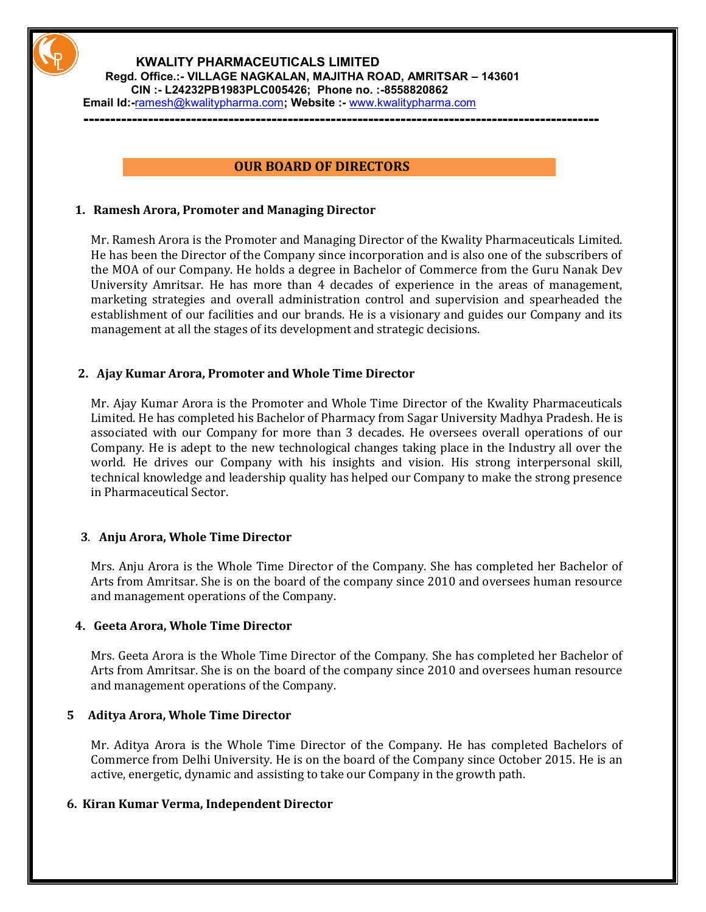

#### **KWALITY PHARMACEUTICALS LIMITED Regd. Office.:- VILLAGE NAGKALAN, MAJITHA ROAD, AMRITSAR – 143601 CIN :- L24232PB1983PLC005426; Phone no. :-8558820862**

**Email Id:-**[ramesh@kwalitypharma.com](mailto:ramesh@kwalitypharma.com)**; Website :-** [www.kwalitypharma.com](http://www.kwalitypharma.com/)

### **OUR BOARD OF DIRECTORS**

**------------------------------------------------------------------------------------------------**

### **1. Ramesh Arora, Promoter and Managing Director**

Mr. Ramesh Arora is the Promoter and Managing Director of the Kwality Pharmaceuticals Limited. He has been the Director of the Company since incorporation and is also one of the subscribers of the MOA of our Company. He holds a degree in Bachelor of Commerce from the Guru Nanak Dev University Amritsar. He has more than 4 decades of experience in the areas of management, marketing strategies and overall administration control and supervision and spearheaded the establishment of our facilities and our brands. He is a visionary and guides our Company and its management at all the stages of its development and strategic decisions.

# **2. Ajay Kumar Arora, Promoter and Whole Time Director**

Mr. Ajay Kumar Arora is the Promoter and Whole Time Director of the Kwality Pharmaceuticals Limited. He has completed his Bachelor of Pharmacy from Sagar University Madhya Pradesh. He is associated with our Company for more than 3 decades. He oversees overall operations of our Company. He is adept to the new technological changes taking place in the Industry all over the world. He drives our Company with his insights and vision. His strong interpersonal skill, technical knowledge and leadership quality has helped our Company to make the strong presence in Pharmaceutical Sector.

# **3**. **Anju Arora, Whole Time Director**

 Mrs. Anju Arora is the Whole Time Director of the Company. She has completed her Bachelor of Arts from Amritsar. She is on the board of the company since 2010 and oversees human resource and management operations of the Company.

#### **4. Geeta Arora, Whole Time Director**

Mrs. Geeta Arora is the Whole Time Director of the Company. She has completed her Bachelor of Arts from Amritsar. She is on the board of the company since 2010 and oversees human resource and management operations of the Company.

### **5 Aditya Arora, Whole Time Director**

Mr. Aditya Arora is the Whole Time Director of the Company. He has completed Bachelors of Commerce from Delhi University. He is on the board of the Company since October 2015. He is an active, energetic, dynamic and assisting to take our Company in the growth path.

# **6. Kiran Kumar Verma, Independent Director**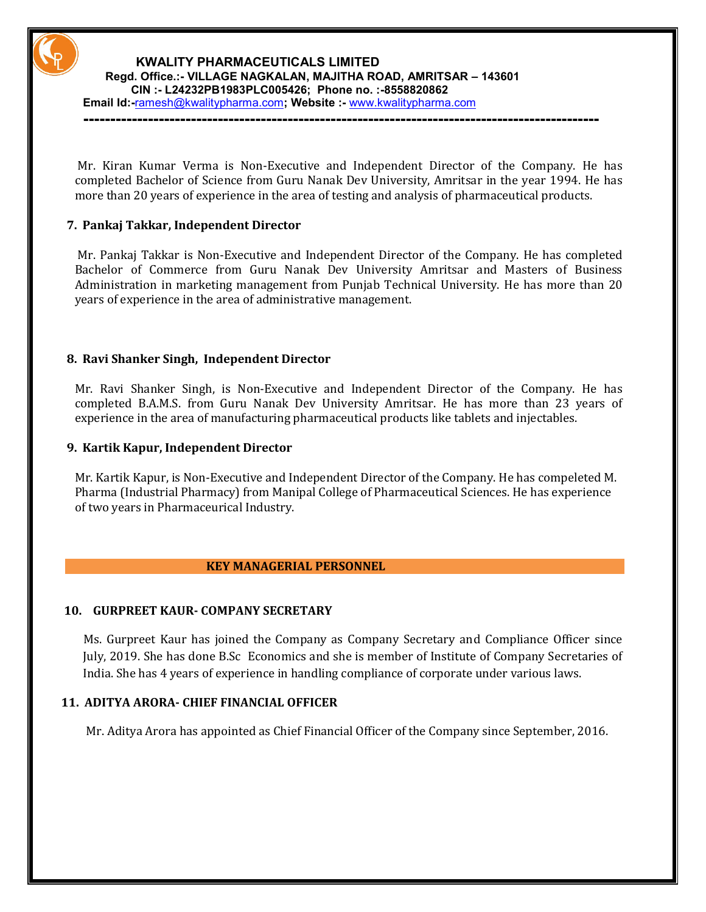

#### **KWALITY PHARMACEUTICALS LIMITED Regd. Office.:- VILLAGE NAGKALAN, MAJITHA ROAD, AMRITSAR – 143601 CIN :- L24232PB1983PLC005426; Phone no. :-8558820862**

**Email Id:-**[ramesh@kwalitypharma.com](mailto:ramesh@kwalitypharma.com)**; Website :-** [www.kwalitypharma.com](http://www.kwalitypharma.com/)

 Mr. Kiran Kumar Verma is Non-Executive and Independent Director of the Company. He has completed Bachelor of Science from Guru Nanak Dev University, Amritsar in the year 1994. He has

more than 20 years of experience in the area of testing and analysis of pharmaceutical products.

**------------------------------------------------------------------------------------------------**

# **7. Pankaj Takkar, Independent Director**

 Mr. Pankaj Takkar is Non-Executive and Independent Director of the Company. He has completed Bachelor of Commerce from Guru Nanak Dev University Amritsar and Masters of Business Administration in marketing management from Punjab Technical University. He has more than 20 years of experience in the area of administrative management.

#### **8. Ravi Shanker Singh, Independent Director**

Mr. Ravi Shanker Singh, is Non-Executive and Independent Director of the Company. He has completed B.A.M.S. from Guru Nanak Dev University Amritsar. He has more than 23 years of experience in the area of manufacturing pharmaceutical products like tablets and injectables.

#### **9. Kartik Kapur, Independent Director**

 Mr. Kartik Kapur, is Non-Executive and Independent Director of the Company. He has compeleted M. Pharma (Industrial Pharmacy) from Manipal College of Pharmaceutical Sciences. He has experience of two years in Pharmaceurical Industry.

#### **KEY MANAGERIAL PERSONNEL**

#### **10. GURPREET KAUR- COMPANY SECRETARY**

 Ms. Gurpreet Kaur has joined the Company as Company Secretary and Compliance Officer since July, 2019. She has done B.Sc Economics and she is member of Institute of Company Secretaries of India. She has 4 years of experience in handling compliance of corporate under various laws.

### **11. ADITYA ARORA- CHIEF FINANCIAL OFFICER**

Mr. Aditya Arora has appointed as Chief Financial Officer of the Company since September, 2016.